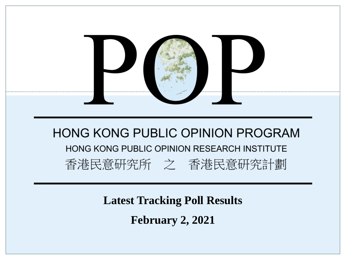

**Latest Tracking Poll Results**

**February 2, 2021**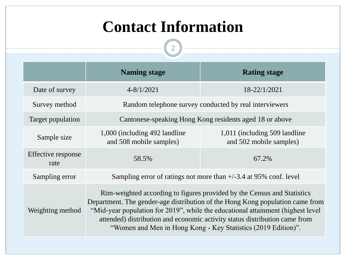## **Contact Information**

 $\boxed{2}$ 

-----

|                            | <b>Naming stage</b>                                                                                                                                                                                                                                                                                                                                                                        | <b>Rating stage</b>                                       |  |  |  |  |  |  |  |  |
|----------------------------|--------------------------------------------------------------------------------------------------------------------------------------------------------------------------------------------------------------------------------------------------------------------------------------------------------------------------------------------------------------------------------------------|-----------------------------------------------------------|--|--|--|--|--|--|--|--|
| Date of survey             | $4 - 8/1/2021$                                                                                                                                                                                                                                                                                                                                                                             | 18-22/1/2021                                              |  |  |  |  |  |  |  |  |
| Survey method              | Random telephone survey conducted by real interviewers                                                                                                                                                                                                                                                                                                                                     |                                                           |  |  |  |  |  |  |  |  |
| Target population          | Cantonese-speaking Hong Kong residents aged 18 or above                                                                                                                                                                                                                                                                                                                                    |                                                           |  |  |  |  |  |  |  |  |
| Sample size                | 1,000 (including 492 landline)<br>and 508 mobile samples)                                                                                                                                                                                                                                                                                                                                  | 1,011 (including 509 landline)<br>and 502 mobile samples) |  |  |  |  |  |  |  |  |
| Effective response<br>rate | 58.5%                                                                                                                                                                                                                                                                                                                                                                                      | 67.2%                                                     |  |  |  |  |  |  |  |  |
| Sampling error             | Sampling error of ratings not more than $+/-3.4$ at 95% conf. level                                                                                                                                                                                                                                                                                                                        |                                                           |  |  |  |  |  |  |  |  |
| Weighting method           | Rim-weighted according to figures provided by the Census and Statistics<br>Department. The gender-age distribution of the Hong Kong population came from<br>"Mid-year population for 2019", while the educational attainment (highest level<br>attended) distribution and economic activity status distribution came from<br>"Women and Men in Hong Kong - Key Statistics (2019 Edition)". |                                                           |  |  |  |  |  |  |  |  |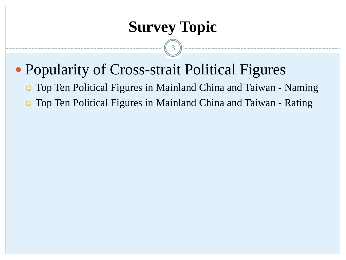## **Survey Topic**

3

- Popularity of Cross-strait Political Figures
	- Top Ten Political Figures in Mainland China and Taiwan Naming
	- Top Ten Political Figures in Mainland China and Taiwan Rating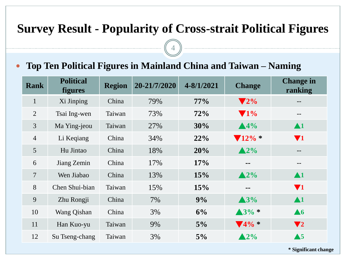### **Survey Result - Popularity of Cross-strait Political Figures**

#### **Top Ten Political Figures in Mainland China and Taiwan – Naming**

| <b>Rank</b>     | <b>Political</b><br><b>figures</b> | <b>Region</b> | 20-21/7/2020 | $4 - 8/1/2021$ | <b>Change</b>                | <b>Change in</b><br>ranking |
|-----------------|------------------------------------|---------------|--------------|----------------|------------------------------|-----------------------------|
| $\mathbf{1}$    | Xi Jinping                         | China         | 79%          | $77\%$         | $\blacktriangledown 2\%$     | --                          |
| $\overline{2}$  | Tsai Ing-wen                       | Taiwan        | 73%          | 72%            | $\blacktriangledown$ 1%      | $- -$                       |
| $\overline{3}$  | Ma Ying-jeou                       | Taiwan        | 27%          | 30%            | $\triangle 4\%$              | $\blacktriangle$ 1          |
| $\overline{4}$  | Li Keqiang                         | China         | 34%          | 22%            | $\sqrt{12\%}$ *              | $\blacktriangledown_1$      |
| $5\overline{)}$ | Hu Jintao                          | China         | 18%          | 20%            | $\triangle 2\%$              | $\sim$ $\sim$               |
| 6               | Jiang Zemin                        | China         | 17%          | 17%            | $=$ $-$                      | --                          |
| $\overline{7}$  | Wen Jiabao                         | China         | 13%          | 15%            | $\triangle 2\%$              | $\blacktriangle$ 1          |
| 8               | Chen Shui-bian                     | Taiwan        | 15%          | 15%            | $\sim$ $\sim$                | $\blacktriangledown_1$      |
| 9               | Zhu Rongji                         | China         | 7%           | 9%             | $\triangle 3\%$              | $\blacktriangle$ 1          |
| 10              | Wang Qishan                        | China         | 3%           | 6%             | $\triangle 3\% *$            | $\triangle 6$               |
| 11              | Han Kuo-yu                         | Taiwan        | 9%           | $5\%$          | $\blacktriangledown$ 4% $^*$ | $\blacktriangledown_2$      |
| 12              | Su Tseng-chang                     | Taiwan        | 3%           | $5\%$          | $\triangle 2\%$              | $\triangle 5$               |

**\* Significant change**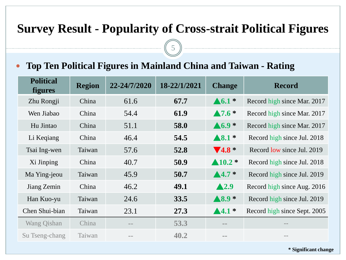### **Survey Result - Popularity of Cross-strait Political Figures**

5

#### **Top Ten Political Figures in Mainland China and Taiwan - Rating**

| <b>Political</b><br><b>figures</b> | <b>Region</b> | 22-24/7/2020 | 18-22/1/2021 | <b>Change</b>                | <b>Record</b>                |
|------------------------------------|---------------|--------------|--------------|------------------------------|------------------------------|
| Zhu Rongji                         | China         | 61.6         | 67.7         | $\blacktriangle 6.1$ *       | Record high since Mar. 2017  |
| Wen Jiabao                         | China         | 54.4         | 61.9         | $\blacktriangle$ 7.6 $*$     | Record high since Mar. 2017  |
| Hu Jintao                          | China         | 51.1         | 58.0         | $\triangle 6.9*$             | Record high since Mar. 2017  |
| Li Keqiang                         | China         | 46.4         | 54.5         | $\blacktriangle 8.1$ *       | Record high since Jul. 2018  |
| Tsai Ing-wen                       | Taiwan        | 57.6         | 52.8         | $\blacktriangledown$ 4.8 $*$ | Record low since Jul. 2019   |
| Xi Jinping                         | China         | 40.7         | 50.9         | $\blacktriangle 10.2$ *      | Record high since Jul. 2018  |
| Ma Ying-jeou                       | Taiwan        | 45.9         | 50.7         | $\blacktriangle 4.7$ *       | Record high since Jul. 2019  |
| Jiang Zemin                        | China         | 46.2         | 49.1         | $\blacktriangle$ 2.9         | Record high since Aug. 2016  |
| Han Kuo-yu                         | Taiwan        | 24.6         | 33.5         | $\blacktriangle 8.9*$        | Record high since Jul. 2019  |
| Chen Shui-bian                     | Taiwan        | 23.1         | 27.3         | $\blacktriangle$ 4.1 $*$     | Record high since Sept. 2005 |
| <b>Wang Qishan</b>                 | China         |              | 53.3         | $= -$                        | $= -$                        |
| Su Tseng-chang                     | Taiwan        |              | 40.2         | $\equiv$ $=$                 | $= -$                        |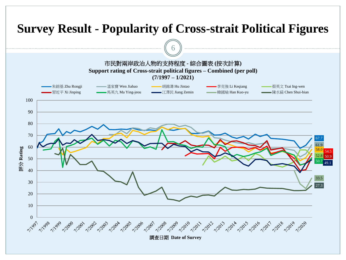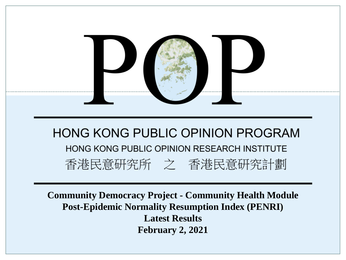

**Community Democracy Project - Community Health Module Post-Epidemic Normality Resumption Index (PENRI) Latest Results February 2, 2021**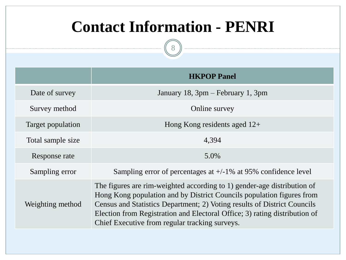## **Contact Information - PENRI**

8

|                                                                                                                                                                                                                                                                                                                                                                                  | <b>HKPOP</b> Panel                                                |  |  |
|----------------------------------------------------------------------------------------------------------------------------------------------------------------------------------------------------------------------------------------------------------------------------------------------------------------------------------------------------------------------------------|-------------------------------------------------------------------|--|--|
| Date of survey                                                                                                                                                                                                                                                                                                                                                                   | January 18, 3pm – February 1, 3pm                                 |  |  |
| Survey method                                                                                                                                                                                                                                                                                                                                                                    | Online survey                                                     |  |  |
| Target population                                                                                                                                                                                                                                                                                                                                                                | Hong Kong residents aged $12+$                                    |  |  |
| Total sample size                                                                                                                                                                                                                                                                                                                                                                | 4,394                                                             |  |  |
| Response rate                                                                                                                                                                                                                                                                                                                                                                    | 5.0%                                                              |  |  |
| Sampling error                                                                                                                                                                                                                                                                                                                                                                   | Sampling error of percentages at $+/-1\%$ at 95% confidence level |  |  |
| The figures are rim-weighted according to 1) gender-age distribution of<br>Hong Kong population and by District Councils population figures from<br>Census and Statistics Department; 2) Voting results of District Councils<br>Weighting method<br>Election from Registration and Electoral Office; 3) rating distribution of<br>Chief Executive from regular tracking surveys. |                                                                   |  |  |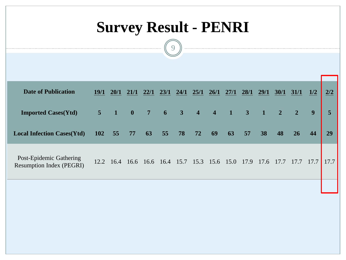# **Survey Result - PENRI**

9

| <b>Date of Publication</b>                                 | <b>19/1</b>    | 20/1           | 21/1 | 22/1                                    | 23/1 | 24/1          | 25/1 | 26/1 | 27/1           | 28/1                    | 29/1           | 30/1           | 31/1           | 1/2  | 2/2            |
|------------------------------------------------------------|----------------|----------------|------|-----------------------------------------|------|---------------|------|------|----------------|-------------------------|----------------|----------------|----------------|------|----------------|
| <b>Imported Cases(Ytd)</b>                                 | 5 <sup>5</sup> | $\blacksquare$ | 40   | 7                                       | 6    | $3 \t 4 \t 4$ |      |      | $\blacksquare$ | $\overline{\mathbf{3}}$ | $\blacksquare$ | $\overline{2}$ | $\overline{2}$ | 9    | 5 <sup>5</sup> |
| <b>Local Infection Cases(Ytd)</b>                          | <b>102</b>     | 55             | 77   | 63                                      | 55   | 78            | 72   | 69   | 63             | 57                      | 38             | 48             | 26             | 44   | 29             |
| Post-Epidemic Gathering<br><b>Resumption Index (PEGRI)</b> |                | 12.2 16.4      |      | 16.6 16.6 16.4 15.7 15.3 15.6 15.0 17.9 |      |               |      |      |                |                         | 17.6           | 17.7           | 17.7           | 17.7 | 17.7           |
|                                                            |                |                |      |                                         |      |               |      |      |                |                         |                |                |                |      |                |